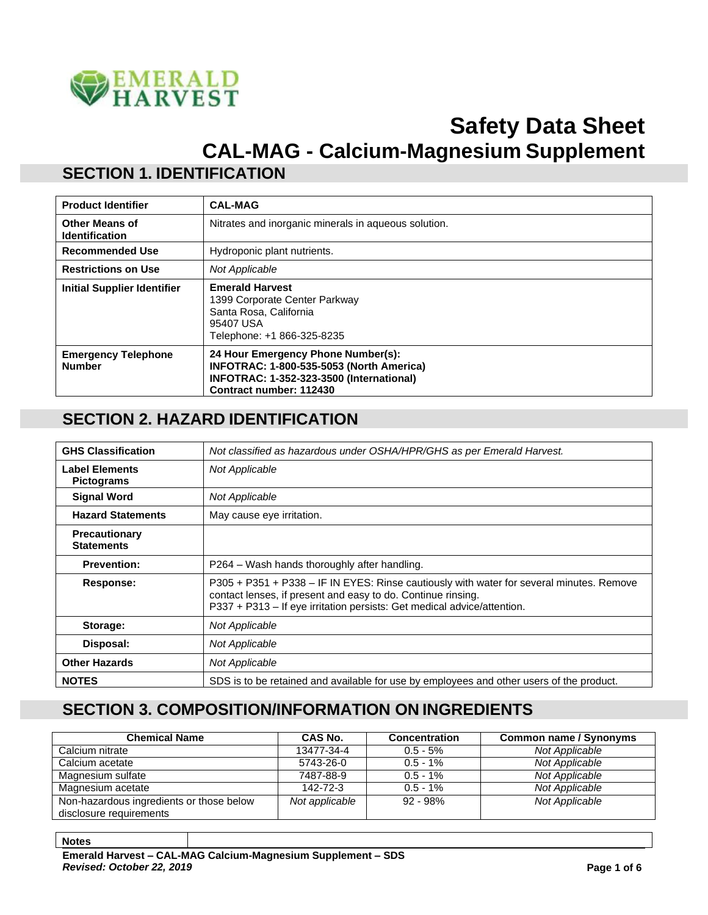

# **Safety Data Sheet CAL-MAG - Calcium-Magnesium Supplement**

### **SECTION 1. IDENTIFICATION**

| <b>Product Identifier</b>                      | <b>CAL-MAG</b>                                                                                                                                               |
|------------------------------------------------|--------------------------------------------------------------------------------------------------------------------------------------------------------------|
| <b>Other Means of</b><br><b>Identification</b> | Nitrates and inorganic minerals in aqueous solution.                                                                                                         |
| <b>Recommended Use</b>                         | Hydroponic plant nutrients.                                                                                                                                  |
| <b>Restrictions on Use</b>                     | Not Applicable                                                                                                                                               |
| <b>Initial Supplier Identifier</b>             | <b>Emerald Harvest</b><br>1399 Corporate Center Parkway<br>Santa Rosa, California<br>95407 USA<br>Telephone: +1 866-325-8235                                 |
| <b>Emergency Telephone</b><br><b>Number</b>    | 24 Hour Emergency Phone Number(s):<br><b>INFOTRAC: 1-800-535-5053 (North America)</b><br>INFOTRAC: 1-352-323-3500 (International)<br>Contract number: 112430 |

### **SECTION 2. HAZARD IDENTIFICATION**

| <b>GHS Classification</b>                 | Not classified as hazardous under OSHA/HPR/GHS as per Emerald Harvest.                                                                                                                                                              |
|-------------------------------------------|-------------------------------------------------------------------------------------------------------------------------------------------------------------------------------------------------------------------------------------|
| Label Elements<br><b>Pictograms</b>       | <b>Not Applicable</b>                                                                                                                                                                                                               |
| <b>Signal Word</b>                        | Not Applicable                                                                                                                                                                                                                      |
| <b>Hazard Statements</b>                  | May cause eye irritation.                                                                                                                                                                                                           |
| <b>Precautionary</b><br><b>Statements</b> |                                                                                                                                                                                                                                     |
| <b>Prevention:</b>                        | P264 – Wash hands thoroughly after handling.                                                                                                                                                                                        |
| Response:                                 | P305 + P351 + P338 – IF IN EYES: Rinse cautiously with water for several minutes. Remove<br>contact lenses, if present and easy to do. Continue rinsing.<br>P337 + P313 - If eye irritation persists: Get medical advice/attention. |
| Storage:                                  | Not Applicable                                                                                                                                                                                                                      |
| Disposal:                                 | Not Applicable                                                                                                                                                                                                                      |
| <b>Other Hazards</b>                      | Not Applicable                                                                                                                                                                                                                      |
| <b>NOTES</b>                              | SDS is to be retained and available for use by employees and other users of the product.                                                                                                                                            |

# **SECTION 3. COMPOSITION/INFORMATION ON INGREDIENTS**

| <b>Chemical Name</b>                                                | CAS No.        | <b>Concentration</b> | <b>Common name / Synonyms</b> |
|---------------------------------------------------------------------|----------------|----------------------|-------------------------------|
| Calcium nitrate                                                     | 13477-34-4     | $0.5 - 5\%$          | Not Applicable                |
| Calcium acetate                                                     | 5743-26-0      | $0.5 - 1\%$          | Not Applicable                |
| Magnesium sulfate                                                   | 7487-88-9      | $0.5 - 1\%$          | Not Applicable                |
| Magnesium acetate                                                   | 142-72-3       | $0.5 - 1\%$          | Not Applicable                |
| Non-hazardous ingredients or those below<br>disclosure requirements | Not applicable | $92 - 98%$           | Not Applicable                |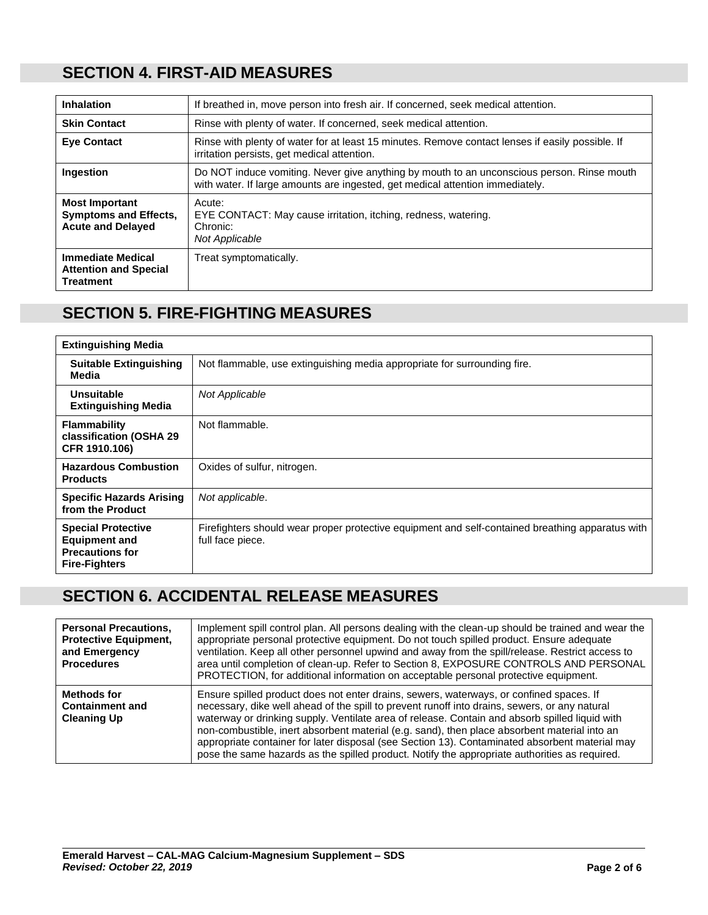#### **SECTION 4. FIRST-AID MEASURES**

| <b>Inhalation</b>                                                                 | If breathed in, move person into fresh air. If concerned, seek medical attention.                                                                                           |
|-----------------------------------------------------------------------------------|-----------------------------------------------------------------------------------------------------------------------------------------------------------------------------|
| <b>Skin Contact</b>                                                               | Rinse with plenty of water. If concerned, seek medical attention.                                                                                                           |
| <b>Eye Contact</b>                                                                | Rinse with plenty of water for at least 15 minutes. Remove contact lenses if easily possible. If<br>irritation persists, get medical attention.                             |
| <b>Ingestion</b>                                                                  | Do NOT induce vomiting. Never give anything by mouth to an unconscious person. Rinse mouth<br>with water. If large amounts are ingested, get medical attention immediately. |
| <b>Most Important</b><br><b>Symptoms and Effects,</b><br><b>Acute and Delayed</b> | Acute:<br>EYE CONTACT: May cause irritation, itching, redness, watering.<br>Chronic:<br>Not Applicable                                                                      |
| <b>Immediate Medical</b><br><b>Attention and Special</b><br><b>Treatment</b>      | Treat symptomatically.                                                                                                                                                      |

#### **SECTION 5. FIRE-FIGHTING MEASURES**

| <b>Extinguishing Media</b>                                                                          |                                                                                                                      |
|-----------------------------------------------------------------------------------------------------|----------------------------------------------------------------------------------------------------------------------|
| <b>Suitable Extinguishing</b><br>Media                                                              | Not flammable, use extinguishing media appropriate for surrounding fire.                                             |
| Unsuitable<br><b>Extinguishing Media</b>                                                            | <b>Not Applicable</b>                                                                                                |
| <b>Flammability</b><br>classification (OSHA 29<br>CFR 1910.106)                                     | Not flammable.                                                                                                       |
| <b>Hazardous Combustion</b><br><b>Products</b>                                                      | Oxides of sulfur, nitrogen.                                                                                          |
| <b>Specific Hazards Arising</b><br>from the Product                                                 | Not applicable.                                                                                                      |
| <b>Special Protective</b><br><b>Equipment and</b><br><b>Precautions for</b><br><b>Fire-Fighters</b> | Firefighters should wear proper protective equipment and self-contained breathing apparatus with<br>full face piece. |

# **SECTION 6. ACCIDENTAL RELEASE MEASURES**

| <b>Personal Precautions,</b><br><b>Protective Equipment,</b><br>and Emergency<br><b>Procedures</b> | Implement spill control plan. All persons dealing with the clean-up should be trained and wear the<br>appropriate personal protective equipment. Do not touch spilled product. Ensure adequate<br>ventilation. Keep all other personnel upwind and away from the spill/release. Restrict access to<br>area until completion of clean-up. Refer to Section 8, EXPOSURE CONTROLS AND PERSONAL<br>PROTECTION, for additional information on acceptable personal protective equipment.                                                                                                            |
|----------------------------------------------------------------------------------------------------|-----------------------------------------------------------------------------------------------------------------------------------------------------------------------------------------------------------------------------------------------------------------------------------------------------------------------------------------------------------------------------------------------------------------------------------------------------------------------------------------------------------------------------------------------------------------------------------------------|
| Methods for<br><b>Containment and</b><br><b>Cleaning Up</b>                                        | Ensure spilled product does not enter drains, sewers, waterways, or confined spaces. If<br>necessary, dike well ahead of the spill to prevent runoff into drains, sewers, or any natural<br>waterway or drinking supply. Ventilate area of release. Contain and absorb spilled liquid with<br>non-combustible, inert absorbent material (e.g. sand), then place absorbent material into an<br>appropriate container for later disposal (see Section 13). Contaminated absorbent material may<br>pose the same hazards as the spilled product. Notify the appropriate authorities as required. |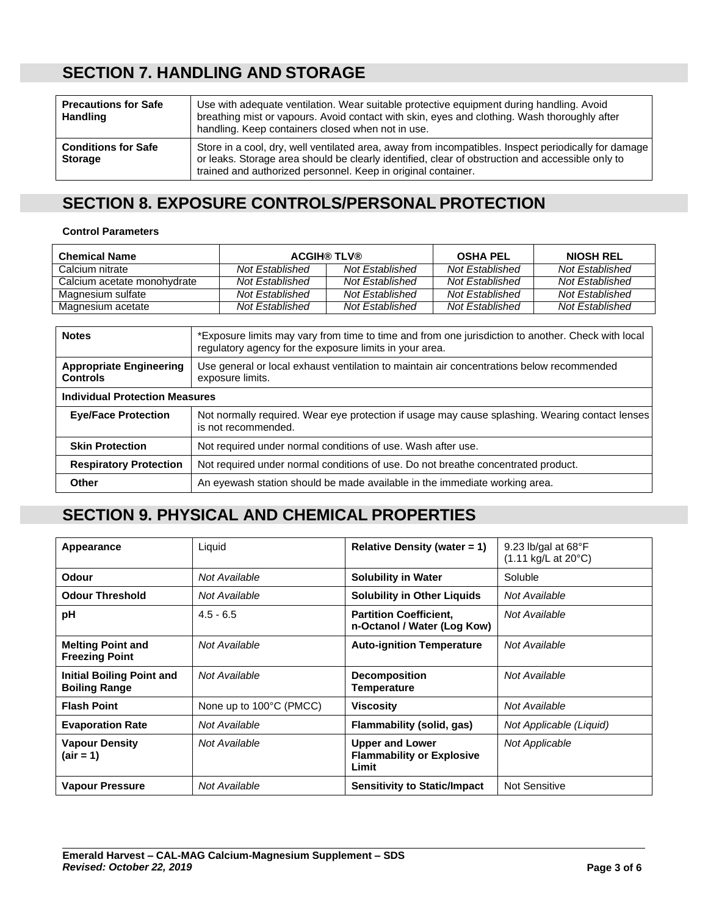#### **SECTION 7. HANDLING AND STORAGE**

| <b>Precautions for Safe</b><br><b>Handling</b> | Use with adequate ventilation. Wear suitable protective equipment during handling. Avoid<br>breathing mist or vapours. Avoid contact with skin, eyes and clothing. Wash thoroughly after<br>handling. Keep containers closed when not in use.                             |
|------------------------------------------------|---------------------------------------------------------------------------------------------------------------------------------------------------------------------------------------------------------------------------------------------------------------------------|
| <b>Conditions for Safe</b><br><b>Storage</b>   | Store in a cool, dry, well ventilated area, away from incompatibles. Inspect periodically for damage<br>or leaks. Storage area should be clearly identified, clear of obstruction and accessible only to<br>trained and authorized personnel. Keep in original container. |

#### **SECTION 8. EXPOSURE CONTROLS/PERSONAL PROTECTION**

#### **Control Parameters**

| <b>Chemical Name</b>        | <b>ACGIH® TLV®</b> |                 | <b>OSHA PEL</b> | <b>NIOSH REL</b> |
|-----------------------------|--------------------|-----------------|-----------------|------------------|
| Calcium nitrate             | Not Established    | Not Established | Not Established | Not Established  |
| Calcium acetate monohydrate | Not Established    | Not Established | Not Established | Not Established  |
| Magnesium sulfate           | Not Established    | Not Established | Not Established | Not Established  |
| Magnesium acetate           | Not Established    | Not Established | Not Established | Not Established  |

| <b>Notes</b>                                      | *Exposure limits may vary from time to time and from one jurisdiction to another. Check with local<br>regulatory agency for the exposure limits in your area. |  |
|---------------------------------------------------|---------------------------------------------------------------------------------------------------------------------------------------------------------------|--|
| <b>Appropriate Engineering</b><br><b>Controls</b> | Use general or local exhaust ventilation to maintain air concentrations below recommended<br>exposure limits.                                                 |  |
| <b>Individual Protection Measures</b>             |                                                                                                                                                               |  |
| <b>Eye/Face Protection</b>                        | Not normally required. Wear eye protection if usage may cause splashing. Wearing contact lenses<br>is not recommended.                                        |  |
| <b>Skin Protection</b>                            | Not required under normal conditions of use. Wash after use.                                                                                                  |  |
| <b>Respiratory Protection</b>                     | Not required under normal conditions of use. Do not breathe concentrated product.                                                                             |  |
| <b>Other</b>                                      | An eyewash station should be made available in the immediate working area.                                                                                    |  |

# **SECTION 9. PHYSICAL AND CHEMICAL PROPERTIES**

| Appearance                                               | Liquid                  | Relative Density (water $= 1$ )                                     | 9.23 lb/gal at $68^{\circ}F$<br>(1.11 kg/L at 20°C) |
|----------------------------------------------------------|-------------------------|---------------------------------------------------------------------|-----------------------------------------------------|
| <b>Odour</b>                                             | Not Available           | <b>Solubility in Water</b>                                          | Soluble                                             |
| <b>Odour Threshold</b>                                   | Not Available           | <b>Solubility in Other Liquids</b>                                  | Not Available                                       |
| рH                                                       | $4.5 - 6.5$             | <b>Partition Coefficient,</b><br>n-Octanol / Water (Log Kow)        | Not Available                                       |
| <b>Melting Point and</b><br><b>Freezing Point</b>        | Not Available           | <b>Auto-ignition Temperature</b>                                    | Not Available                                       |
| <b>Initial Boiling Point and</b><br><b>Boiling Range</b> | Not Available           | <b>Decomposition</b><br><b>Temperature</b>                          | Not Available                                       |
| <b>Flash Point</b>                                       | None up to 100°C (PMCC) | <b>Viscosity</b>                                                    | Not Available                                       |
| <b>Evaporation Rate</b>                                  | Not Available           | Flammability (solid, gas)                                           | Not Applicable (Liquid)                             |
| <b>Vapour Density</b><br>(air = 1)                       | Not Available           | <b>Upper and Lower</b><br><b>Flammability or Explosive</b><br>Limit | Not Applicable                                      |
| <b>Vapour Pressure</b>                                   | Not Available           | <b>Sensitivity to Static/Impact</b>                                 | <b>Not Sensitive</b>                                |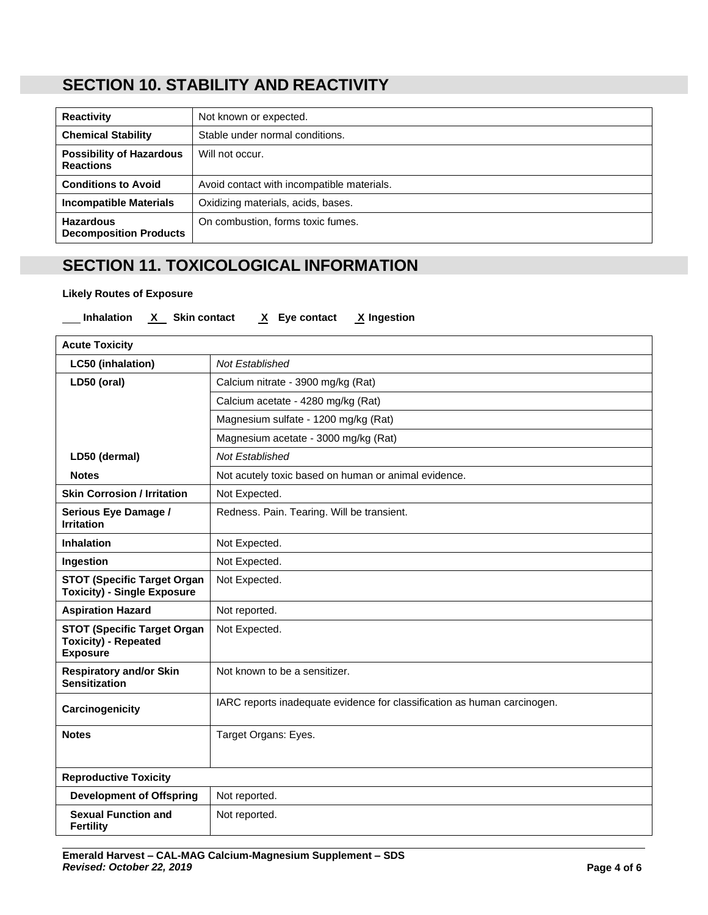#### **SECTION 10. STABILITY AND REACTIVITY**

| <b>Reactivity</b>                                   | Not known or expected.                     |
|-----------------------------------------------------|--------------------------------------------|
| <b>Chemical Stability</b>                           | Stable under normal conditions.            |
| <b>Possibility of Hazardous</b><br><b>Reactions</b> | Will not occur.                            |
| <b>Conditions to Avoid</b>                          | Avoid contact with incompatible materials. |
| <b>Incompatible Materials</b>                       | Oxidizing materials, acids, bases.         |
| <b>Hazardous</b><br><b>Decomposition Products</b>   | On combustion, forms toxic fumes.          |

## **SECTION 11. TOXICOLOGICAL INFORMATION**

**Inhalation X Skin contact X Eye contact X Ingestion**

#### **Likely Routes of Exposure**

| <b>Acute Toxicity</b>                                                                |                                                                          |
|--------------------------------------------------------------------------------------|--------------------------------------------------------------------------|
| LC50 (inhalation)                                                                    | Not Established                                                          |
| LD50 (oral)                                                                          | Calcium nitrate - 3900 mg/kg (Rat)                                       |
|                                                                                      | Calcium acetate - 4280 mg/kg (Rat)                                       |
|                                                                                      | Magnesium sulfate - 1200 mg/kg (Rat)                                     |
|                                                                                      | Magnesium acetate - 3000 mg/kg (Rat)                                     |
| LD50 (dermal)                                                                        | Not Established                                                          |
| <b>Notes</b>                                                                         | Not acutely toxic based on human or animal evidence.                     |
| <b>Skin Corrosion / Irritation</b>                                                   | Not Expected.                                                            |
| Serious Eye Damage /<br><b>Irritation</b>                                            | Redness. Pain. Tearing. Will be transient.                               |
| <b>Inhalation</b>                                                                    | Not Expected.                                                            |
| Ingestion                                                                            | Not Expected.                                                            |
| <b>STOT (Specific Target Organ</b><br><b>Toxicity) - Single Exposure</b>             | Not Expected.                                                            |
| <b>Aspiration Hazard</b>                                                             | Not reported.                                                            |
| <b>STOT (Specific Target Organ</b><br><b>Toxicity) - Repeated</b><br><b>Exposure</b> | Not Expected.                                                            |
| <b>Respiratory and/or Skin</b><br><b>Sensitization</b>                               | Not known to be a sensitizer.                                            |
| Carcinogenicity                                                                      | IARC reports inadequate evidence for classification as human carcinogen. |
| <b>Notes</b>                                                                         | Target Organs: Eyes.                                                     |
| <b>Reproductive Toxicity</b>                                                         |                                                                          |
| <b>Development of Offspring</b>                                                      | Not reported.                                                            |
| <b>Sexual Function and</b><br><b>Fertility</b>                                       | Not reported.                                                            |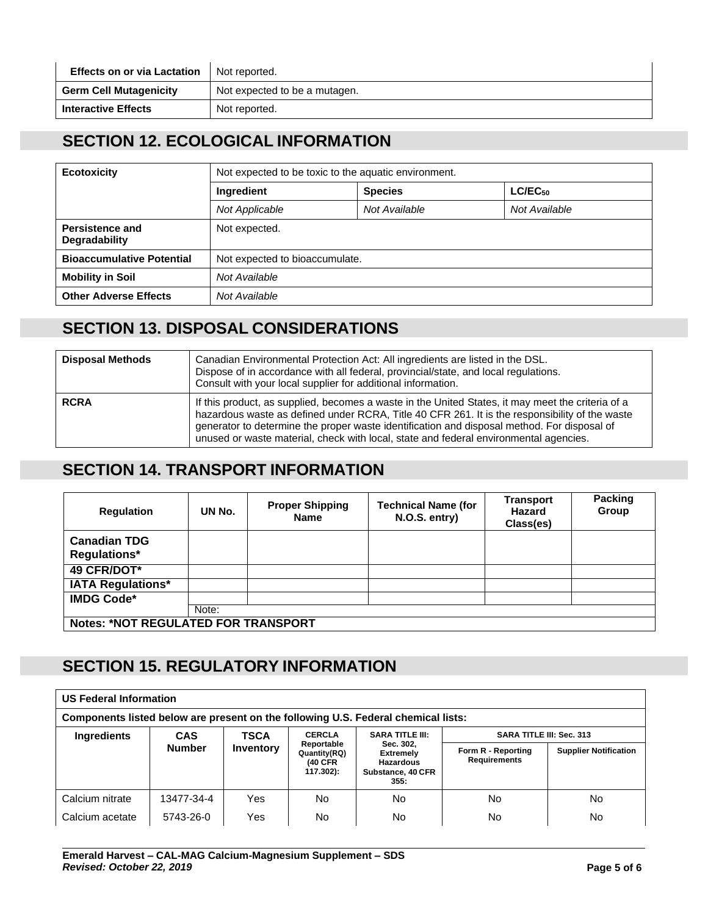| <b>Effects on or via Lactation</b> | Not reported.                 |
|------------------------------------|-------------------------------|
| <b>Germ Cell Mutagenicity</b>      | Not expected to be a mutagen. |
| <b>Interactive Effects</b>         | Not reported.                 |

#### **SECTION 12. ECOLOGICAL INFORMATION**

| <b>Ecotoxicity</b>                             | Not expected to be toxic to the aquatic environment. |                |               |  |
|------------------------------------------------|------------------------------------------------------|----------------|---------------|--|
|                                                | Ingredient                                           | <b>Species</b> | $LC/EC_{50}$  |  |
|                                                | Not Applicable                                       | Not Available  | Not Available |  |
| <b>Persistence and</b><br><b>Degradability</b> | Not expected.                                        |                |               |  |
| <b>Bioaccumulative Potential</b>               | Not expected to bioaccumulate.                       |                |               |  |
| <b>Mobility in Soil</b>                        | Not Available                                        |                |               |  |
| <b>Other Adverse Effects</b>                   | Not Available                                        |                |               |  |

# **SECTION 13. DISPOSAL CONSIDERATIONS**

| <b>Disposal Methods</b> | Canadian Environmental Protection Act: All ingredients are listed in the DSL.<br>Dispose of in accordance with all federal, provincial/state, and local regulations.<br>Consult with your local supplier for additional information.                                                                                                                                                        |
|-------------------------|---------------------------------------------------------------------------------------------------------------------------------------------------------------------------------------------------------------------------------------------------------------------------------------------------------------------------------------------------------------------------------------------|
| <b>RCRA</b>             | If this product, as supplied, becomes a waste in the United States, it may meet the criteria of a<br>hazardous waste as defined under RCRA, Title 40 CFR 261. It is the responsibility of the waste<br>generator to determine the proper waste identification and disposal method. For disposal of<br>unused or waste material, check with local, state and federal environmental agencies. |

### **SECTION 14. TRANSPORT INFORMATION**

| <b>Regulation</b>        | UN No.                                     | <b>Proper Shipping</b><br><b>Name</b> | <b>Technical Name (for</b><br>N.O.S. entry) | <b>Transport</b><br>Hazard<br>Class(es) | <b>Packing</b><br>Group |
|--------------------------|--------------------------------------------|---------------------------------------|---------------------------------------------|-----------------------------------------|-------------------------|
| <b>Canadian TDG</b>      |                                            |                                       |                                             |                                         |                         |
| <b>Regulations*</b>      |                                            |                                       |                                             |                                         |                         |
| 49 CFR/DOT*              |                                            |                                       |                                             |                                         |                         |
| <b>IATA Regulations*</b> |                                            |                                       |                                             |                                         |                         |
| <b>IMDG Code*</b>        |                                            |                                       |                                             |                                         |                         |
|                          | Note:                                      |                                       |                                             |                                         |                         |
|                          | <b>Notes: *NOT REGULATED FOR TRANSPORT</b> |                                       |                                             |                                         |                         |

# **SECTION 15. REGULATORY INFORMATION**

| <b>US Federal Information</b>                                                     |               |           |                                                     |                                                                                |                                           |                              |
|-----------------------------------------------------------------------------------|---------------|-----------|-----------------------------------------------------|--------------------------------------------------------------------------------|-------------------------------------------|------------------------------|
| Components listed below are present on the following U.S. Federal chemical lists: |               |           |                                                     |                                                                                |                                           |                              |
| <b>TSCA</b><br><b>Ingredients</b><br><b>CAS</b>                                   |               |           | <b>CERCLA</b>                                       | <b>SARA TITLE III:</b>                                                         | <b>SARA TITLE III: Sec. 313</b>           |                              |
|                                                                                   | <b>Number</b> | Inventory | Reportable<br>Quantity(RQ)<br>(40 CFR)<br>117.302): | Sec. 302,<br><b>Extremely</b><br><b>Hazardous</b><br>Substance, 40 CFR<br>355: | Form R - Reporting<br><b>Requirements</b> | <b>Supplier Notification</b> |
| Calcium nitrate                                                                   | 13477-34-4    | Yes       | No.                                                 | No                                                                             | No                                        | No                           |
| Calcium acetate                                                                   | 5743-26-0     | Yes       | No.                                                 | No                                                                             | No                                        | No                           |